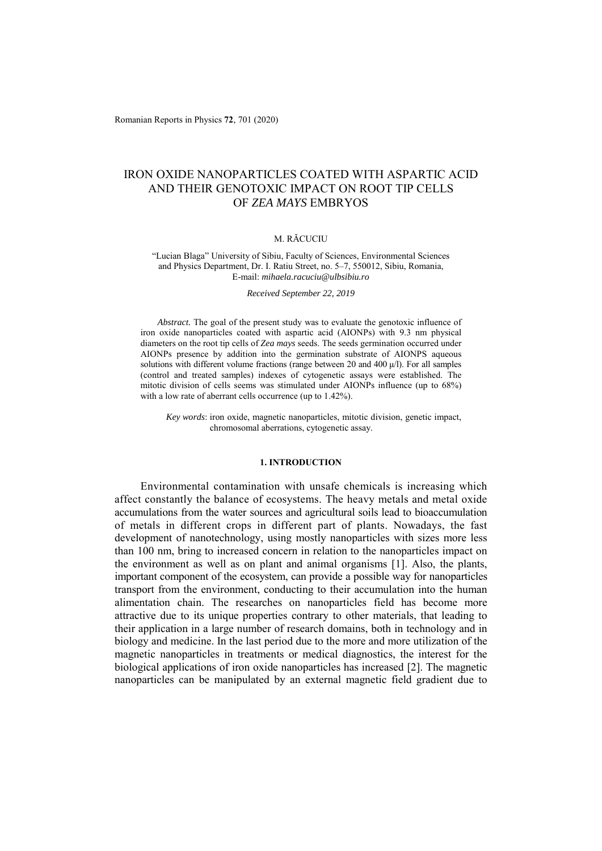Romanian Reports in Physics **72**, 701 (2020)

# IRON OXIDE NANOPARTICLES COATED WITH ASPARTIC ACID AND THEIR GENOTOXIC IMPACT ON ROOT TIP CELLS OF *ZEA MAYS* EMBRYOS

### M. RĂCUCIU

"Lucian Blaga" University of Sibiu, Faculty of Sciences, Environmental Sciences and Physics Department, Dr. I. Ratiu Street, no. 5–7, 550012, Sibiu, Romania, E-mail: *mihaela.racuciu@ulbsibiu.ro*

*Received September 22, 2019* 

*Abstract.* The goal of the present study was to evaluate the genotoxic influence of iron oxide nanoparticles coated with aspartic acid (AIONPs) with 9.3 nm physical diameters on the root tip cells of *Zea mays* seeds. The seeds germination occurred under AIONPs presence by addition into the germination substrate of AIONPS aqueous solutions with different volume fractions (range between 20 and 400  $\mu$ /l). For all samples (control and treated samples) indexes of cytogenetic assays were established. The mitotic division of cells seems was stimulated under AIONPs influence (up to 68%) with a low rate of aberrant cells occurrence (up to 1.42%).

*Key words*: iron oxide, magnetic nanoparticles, mitotic division, genetic impact, chromosomal aberrations, cytogenetic assay.

#### **1. INTRODUCTION**

Environmental contamination with unsafe chemicals is increasing which affect constantly the balance of ecosystems. The heavy metals and metal oxide accumulations from the water sources and agricultural soils lead to bioaccumulation of metals in different crops in different part of plants. Nowadays, the fast development of nanotechnology, using mostly nanoparticles with sizes more less than 100 nm, bring to increased concern in relation to the nanoparticles impact on the environment as well as on plant and animal organisms [1]. Also, the plants, important component of the ecosystem, can provide a possible way for nanoparticles transport from the environment, conducting to their accumulation into the human alimentation chain. The researches on nanoparticles field has become more attractive due to its unique properties contrary to other materials, that leading to their application in a large number of research domains, both in technology and in biology and medicine. In the last period due to the more and more utilization of the magnetic nanoparticles in treatments or medical diagnostics, the interest for the biological applications of iron oxide nanoparticles has increased [2]. The magnetic nanoparticles can be manipulated by an external magnetic field gradient due to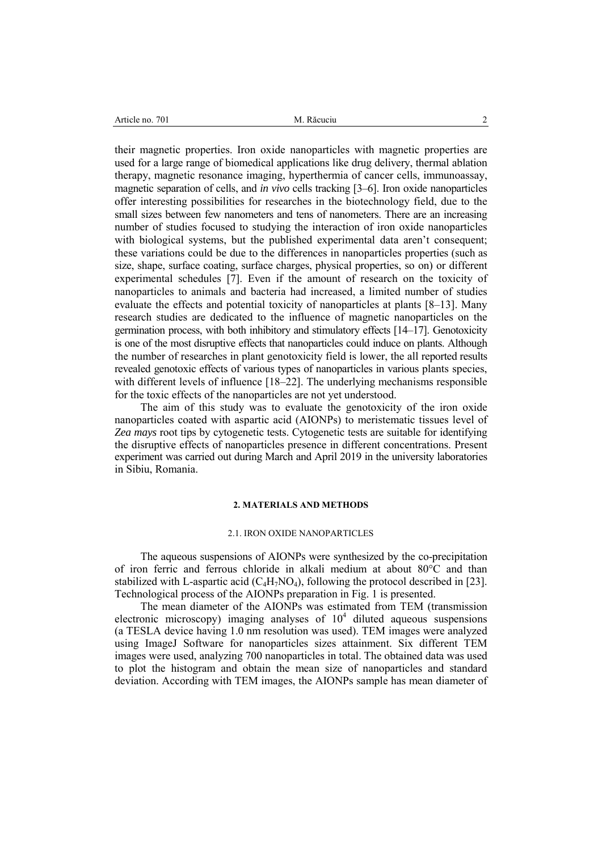their magnetic properties. Iron oxide nanoparticles with magnetic properties are used for a large range of biomedical applications like drug delivery, thermal ablation therapy, magnetic resonance imaging, hyperthermia of cancer cells, immunoassay, magnetic separation of cells, and *in vivo* cells tracking [3–6]. Iron oxide nanoparticles offer interesting possibilities for researches in the biotechnology field, due to the small sizes between few nanometers and tens of nanometers. There are an increasing number of studies focused to studying the interaction of iron oxide nanoparticles with biological systems, but the published experimental data aren't consequent; these variations could be due to the differences in nanoparticles properties (such as size, shape, surface coating, surface charges, physical properties, so on) or different experimental schedules [7]. Even if the amount of research on the toxicity of nanoparticles to animals and bacteria had increased, a limited number of studies evaluate the effects and potential toxicity of nanoparticles at plants [8–13]. Many research studies are dedicated to the influence of magnetic nanoparticles on the germination process, with both inhibitory and stimulatory effects [14–17]. Genotoxicity is one of the most disruptive effects that nanoparticles could induce on plants. Although the number of researches in plant genotoxicity field is lower, the all reported results revealed genotoxic effects of various types of nanoparticles in various plants species, with different levels of influence [18–22]. The underlying mechanisms responsible for the toxic effects of the nanoparticles are not yet understood.

The aim of this study was to evaluate the genotoxicity of the iron oxide nanoparticles coated with aspartic acid (AIONPs) to meristematic tissues level of *Zea mays* root tips by cytogenetic tests. Cytogenetic tests are suitable for identifying the disruptive effects of nanoparticles presence in different concentrations. Present experiment was carried out during March and April 2019 in the university laboratories in Sibiu, Romania.

### **2. MATERIALS AND METHODS**

#### 2.1. IRON OXIDE NANOPARTICLES

The aqueous suspensions of AIONPs were synthesized by the co-precipitation of iron ferric and ferrous chloride in alkali medium at about 80°C and than stabilized with L-aspartic acid  $(C_4H_7NO_4)$ , following the protocol described in [23]. Technological process of the AIONPs preparation in Fig. 1 is presented.

The mean diameter of the AIONPs was estimated from TEM (transmission electronic microscopy) imaging analyses of  $10<sup>4</sup>$  diluted aqueous suspensions (a TESLA device having 1.0 nm resolution was used). TEM images were analyzed using ImageJ Software for nanoparticles sizes attainment. Six different TEM images were used, analyzing 700 nanoparticles in total. The obtained data was used to plot the histogram and obtain the mean size of nanoparticles and standard deviation. According with TEM images, the AIONPs sample has mean diameter of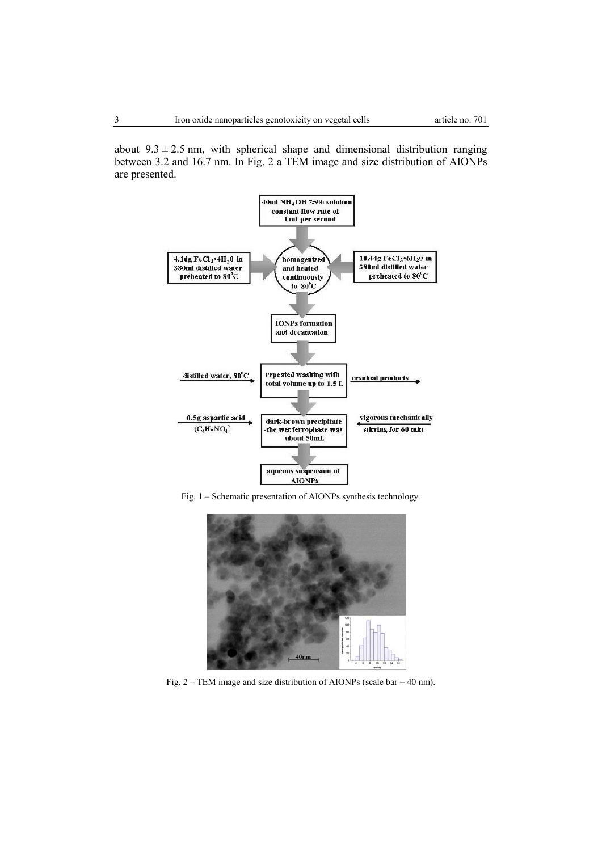about  $9.3 \pm 2.5$  nm, with spherical shape and dimensional distribution ranging between 3.2 and 16.7 nm. In Fig. 2 a TEM image and size distribution of AIONPs are presented.



Fig. 1 – Schematic presentation of AIONPs synthesis technology.



Fig. 2 – TEM image and size distribution of AIONPs (scale bar = 40 nm).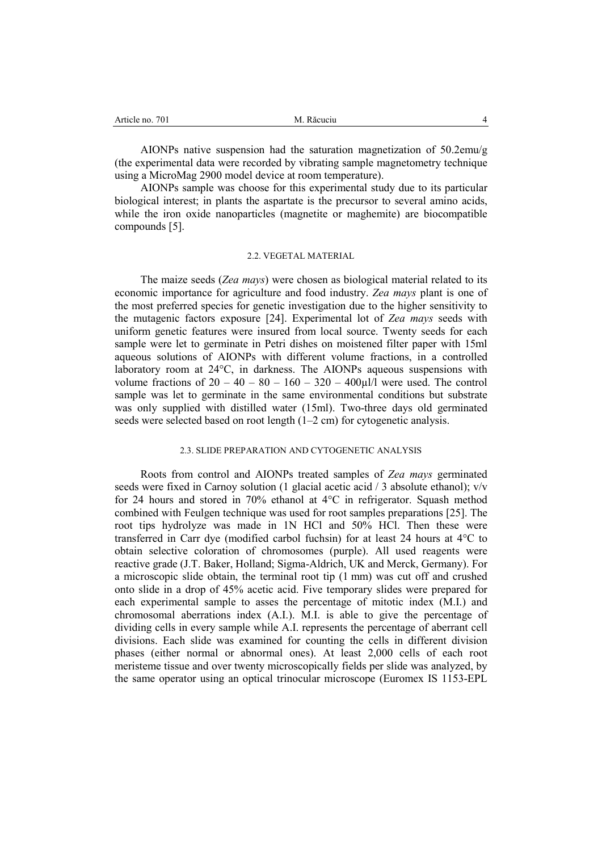| M. Răcuciu |
|------------|
|            |

AIONPs native suspension had the saturation magnetization of 50.2emu/g (the experimental data were recorded by vibrating sample magnetometry technique using a MicroMag 2900 model device at room temperature).

AIONPs sample was choose for this experimental study due to its particular biological interest; in plants the aspartate is the precursor to several amino acids, while the iron oxide nanoparticles (magnetite or maghemite) are biocompatible compounds [5].

### 2.2. VEGETAL MATERIAL

The maize seeds (*Zea mays*) were chosen as biological material related to its economic importance for agriculture and food industry. *Zea mays* plant is one of the most preferred species for genetic investigation due to the higher sensitivity to the mutagenic factors exposure [24]. Experimental lot of *Zea mays* seeds with uniform genetic features were insured from local source. Twenty seeds for each sample were let to germinate in Petri dishes on moistened filter paper with 15ml aqueous solutions of AIONPs with different volume fractions, in a controlled laboratory room at 24°C, in darkness. The AIONPs aqueous suspensions with volume fractions of  $20 - 40 - 80 - 160 - 320 - 400$ ul/l were used. The control sample was let to germinate in the same environmental conditions but substrate was only supplied with distilled water (15ml). Two-three days old germinated seeds were selected based on root length (1–2 cm) for cytogenetic analysis.

### 2.3. SLIDE PREPARATION AND CYTOGENETIC ANALYSIS

Roots from control and AIONPs treated samples of *Zea mays* germinated seeds were fixed in Carnoy solution (1 glacial acetic acid / 3 absolute ethanol); v/v for 24 hours and stored in 70% ethanol at 4°C in refrigerator. Squash method combined with Feulgen technique was used for root samples preparations [25]. The root tips hydrolyze was made in 1N HCl and 50% HCl. Then these were transferred in Carr dye (modified carbol fuchsin) for at least 24 hours at 4°C to obtain selective coloration of chromosomes (purple). All used reagents were reactive grade (J.T. Baker, Holland; Sigma-Aldrich, UK and Merck, Germany). For a microscopic slide obtain, the terminal root tip (1 mm) was cut off and crushed onto slide in a drop of 45% acetic acid. Five temporary slides were prepared for each experimental sample to asses the percentage of mitotic index (M.I.) and chromosomal aberrations index (A.I.). M.I. is able to give the percentage of dividing cells in every sample while A.I. represents the percentage of aberrant cell divisions. Each slide was examined for counting the cells in different division phases (either normal or abnormal ones). At least 2,000 cells of each root meristeme tissue and over twenty microscopically fields per slide was analyzed, by the same operator using an optical trinocular microscope (Euromex IS 1153-EPL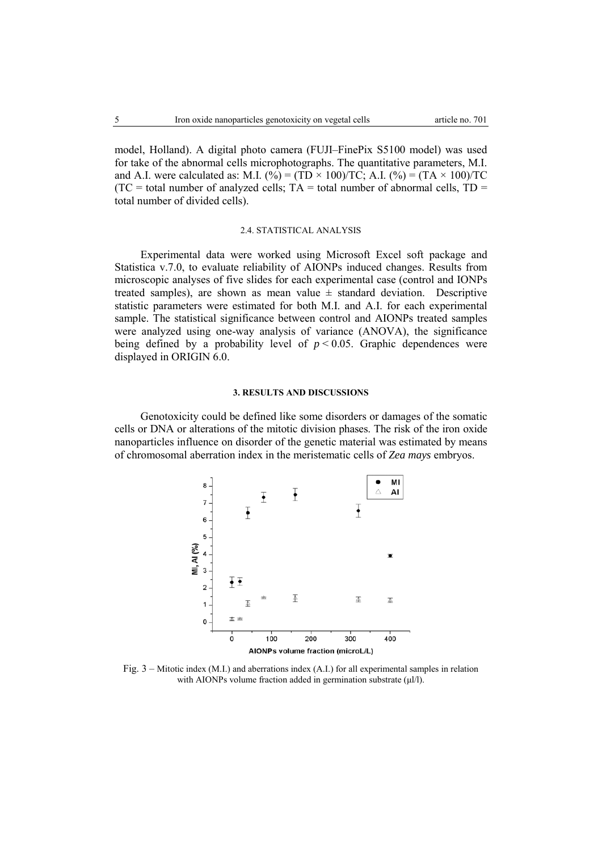model, Holland). A digital photo camera (FUJI–FinePix S5100 model) was used for take of the abnormal cells microphotographs. The quantitative parameters, M.I. and A.I. were calculated as: M.I. (%) = (TD × 100)/TC; A.I. (%) = (TA × 100)/TC  $(TC = total number of analyzed cells; TA = total number of abnormal cells, TD =$ total number of divided cells).

## 2.4. STATISTICAL ANALYSIS

Experimental data were worked using Microsoft Excel soft package and Statistica v.7.0, to evaluate reliability of AIONPs induced changes. Results from microscopic analyses of five slides for each experimental case (control and IONPs treated samples), are shown as mean value  $\pm$  standard deviation. Descriptive statistic parameters were estimated for both M.I. and A.I. for each experimental sample. The statistical significance between control and AIONPs treated samples were analyzed using one-way analysis of variance (ANOVA), the significance being defined by a probability level of  $p < 0.05$ . Graphic dependences were displayed in ORIGIN 6.0.

### **3. RESULTS AND DISCUSSIONS**

Genotoxicity could be defined like some disorders or damages of the somatic cells or DNA or alterations of the mitotic division phases. The risk of the iron oxide nanoparticles influence on disorder of the genetic material was estimated by means of chromosomal aberration index in the meristematic cells of *Zea mays* embryos.



Fig. 3 – Mitotic index (M.I.) and aberrations index (A.I.) for all experimental samples in relation with AIONPs volume fraction added in germination substrate (μl/l).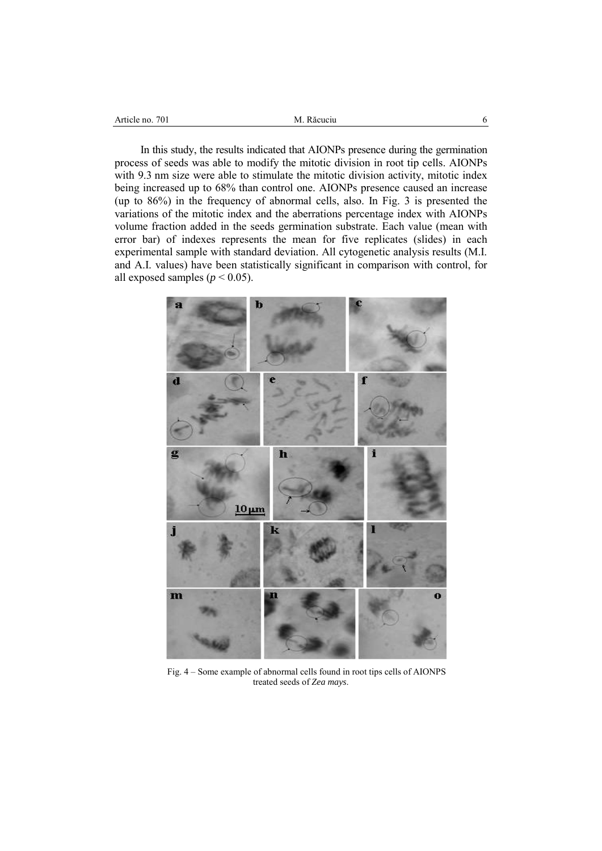| $70_{1}$<br>11 O<br>Article<br> | $  -$<br>M<br>я<br>uciu |  |
|---------------------------------|-------------------------|--|
|                                 |                         |  |

In this study, the results indicated that AIONPs presence during the germination process of seeds was able to modify the mitotic division in root tip cells. AIONPs with 9.3 nm size were able to stimulate the mitotic division activity, mitotic index being increased up to 68% than control one. AIONPs presence caused an increase (up to 86%) in the frequency of abnormal cells, also. In Fig. 3 is presented the variations of the mitotic index and the aberrations percentage index with AIONPs volume fraction added in the seeds germination substrate. Each value (mean with error bar) of indexes represents the mean for five replicates (slides) in each experimental sample with standard deviation. All cytogenetic analysis results (M.I. and A.I. values) have been statistically significant in comparison with control, for all exposed samples ( $p < 0.05$ ).



Fig. 4 – Some example of abnormal cells found in root tips cells of AIONPS treated seeds of *Zea mays*.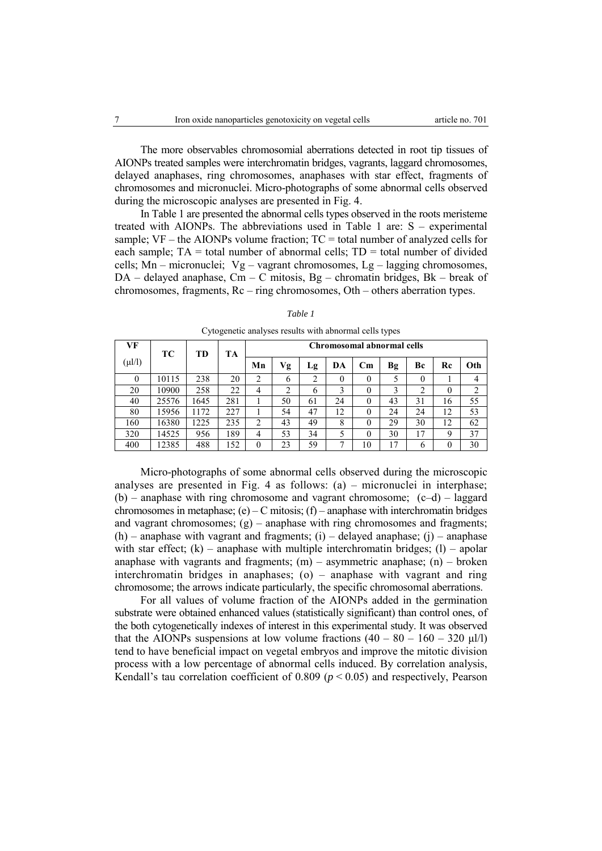The more observables chromosomial aberrations detected in root tip tissues of AIONPs treated samples were interchromatin bridges, vagrants, laggard chromosomes, delayed anaphases, ring chromosomes, anaphases with star effect, fragments of chromosomes and micronuclei. Micro-photographs of some abnormal cells observed during the microscopic analyses are presented in Fig. 4.

In Table 1 are presented the abnormal cells types observed in the roots meristeme treated with AIONPs. The abbreviations used in Table 1 are: S – experimental sample;  $VF - the AIONPs$  volume fraction;  $TC = total$  number of analyzed cells for each sample;  $TA = total$  number of abnormal cells;  $TD = total$  number of divided cells; Mn – micronuclei;  $Vg - vagrant$  chromosomes, Lg – lagging chromosomes, DA – delayed anaphase, Cm – C mitosis, Bg – chromatin bridges, Bk – break of chromosomes, fragments, Rc – ring chromosomes, Oth – others aberration types.

| VF          | TС    | TD   | <b>TA</b> | Chromosomal abnormal cells |    |    |    |                        |    |          |          |                |
|-------------|-------|------|-----------|----------------------------|----|----|----|------------------------|----|----------|----------|----------------|
| $(\mu l/l)$ |       |      |           | Mn                         | Vg | Lg | DA | $\mathbf{C}\mathbf{m}$ | Bg | Вc       | Rc       | Oth            |
| $\theta$    | 10115 | 238  | 20        | っ                          | 6  | ↑  | 0  |                        | 5  | $\theta$ |          | 4              |
| 20          | 10900 | 258  | 22        | $\overline{4}$             | ↑  | 6  | 3  |                        | 3  | 2        | $\Omega$ | $\overline{c}$ |
| 40          | 25576 | 1645 | 281       |                            | 50 | 61 | 24 |                        | 43 | 31       | 16       | 55             |
| 80          | 15956 | 1172 | 227       |                            | 54 | 47 | 12 |                        | 24 | 24       | 12       | 53             |
| 160         | 16380 | 1225 | 235       | C                          | 43 | 49 | 8  |                        | 29 | 30       | 12       | 62             |
| 320         | 14525 | 956  | 189       | 4                          | 53 | 34 | 5  |                        | 30 | 17       | Q        | 37             |
| 400         | 12385 | 488  | 152       | 0                          | 23 | 59 | ⇁  | 10                     | 17 | 6        |          | 30             |

*Table 1* 

Cytogenetic analyses results with abnormal cells types

Micro-photographs of some abnormal cells observed during the microscopic analyses are presented in Fig. 4 as follows: (a) – micronuclei in interphase;  $(b)$  – anaphase with ring chromosome and vagrant chromosome;  $(c-d)$  – laggard chromosomes in metaphase; (e) – C mitosis; (f) – anaphase with interchromatin bridges and vagrant chromosomes;  $(g)$  – anaphase with ring chromosomes and fragments;  $(h)$  – anaphase with vagrant and fragments; (i) – delayed anaphase; (j) – anaphase with star effect;  $(k)$  – anaphase with multiple interchromatin bridges;  $(l)$  – apolar anaphase with vagrants and fragments;  $(m)$  – asymmetric anaphase;  $(n)$  – broken interchromatin bridges in anaphases; (o) – anaphase with vagrant and ring chromosome; the arrows indicate particularly, the specific chromosomal aberrations.

For all values of volume fraction of the AIONPs added in the germination substrate were obtained enhanced values (statistically significant) than control ones, of the both cytogenetically indexes of interest in this experimental study. It was observed that the AIONPs suspensions at low volume fractions  $(40 - 80 - 160 - 320 \mu l/l)$ tend to have beneficial impact on vegetal embryos and improve the mitotic division process with a low percentage of abnormal cells induced. By correlation analysis, Kendall's tau correlation coefficient of  $0.809$  ( $p < 0.05$ ) and respectively, Pearson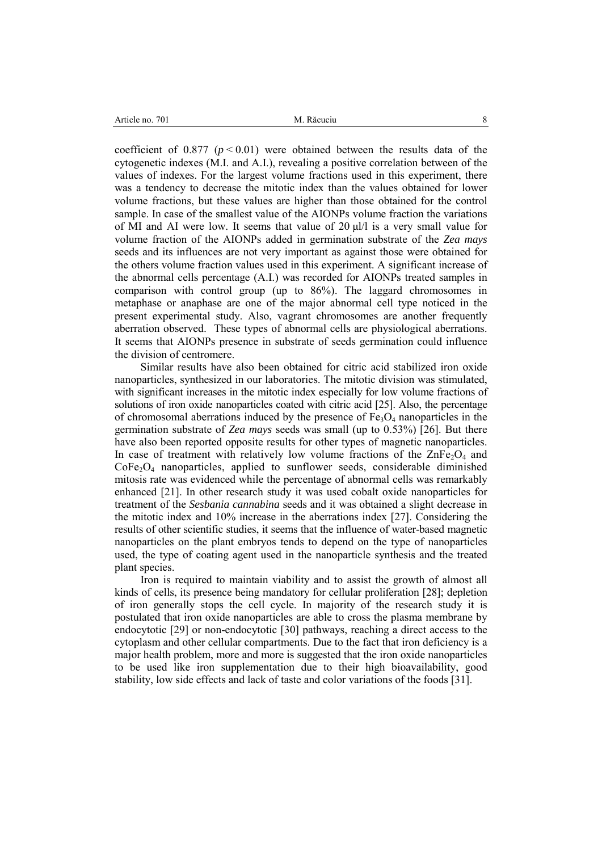coefficient of  $0.877$  ( $p < 0.01$ ) were obtained between the results data of the cytogenetic indexes (M.I. and A.I.), revealing a positive correlation between of the values of indexes. For the largest volume fractions used in this experiment, there was a tendency to decrease the mitotic index than the values obtained for lower volume fractions, but these values are higher than those obtained for the control sample. In case of the smallest value of the AIONPs volume fraction the variations of MI and AI were low. It seems that value of 20 μl/l is a very small value for volume fraction of the AIONPs added in germination substrate of the *Zea mays*  seeds and its influences are not very important as against those were obtained for the others volume fraction values used in this experiment. A significant increase of the abnormal cells percentage (A.I.) was recorded for AIONPs treated samples in comparison with control group (up to 86%). The laggard chromosomes in metaphase or anaphase are one of the major abnormal cell type noticed in the present experimental study. Also, vagrant chromosomes are another frequently aberration observed. These types of abnormal cells are physiological aberrations. It seems that AIONPs presence in substrate of seeds germination could influence the division of centromere.

Similar results have also been obtained for citric acid stabilized iron oxide nanoparticles, synthesized in our laboratories. The mitotic division was stimulated, with significant increases in the mitotic index especially for low volume fractions of solutions of iron oxide nanoparticles coated with citric acid [25]. Also, the percentage of chromosomal aberrations induced by the presence of  $Fe<sub>3</sub>O<sub>4</sub>$  nanoparticles in the germination substrate of *Zea mays* seeds was small (up to 0.53%) [26]. But there have also been reported opposite results for other types of magnetic nanoparticles. In case of treatment with relatively low volume fractions of the  $\text{ZnFe}_2\text{O}_4$  and  $CoFe<sub>2</sub>O<sub>4</sub>$  nanoparticles, applied to sunflower seeds, considerable diminished mitosis rate was evidenced while the percentage of abnormal cells was remarkably enhanced [21]. In other research study it was used cobalt oxide nanoparticles for treatment of the *Sesbania cannabina* seeds and it was obtained a slight decrease in the mitotic index and 10% increase in the aberrations index [27]. Considering the results of other scientific studies, it seems that the influence of water-based magnetic nanoparticles on the plant embryos tends to depend on the type of nanoparticles used, the type of coating agent used in the nanoparticle synthesis and the treated plant species.

Iron is required to maintain viability and to assist the growth of almost all kinds of cells, its presence being mandatory for cellular proliferation [28]; depletion of iron generally stops the cell cycle. In majority of the research study it is postulated that iron oxide nanoparticles are able to cross the plasma membrane by endocytotic [29] or non-endocytotic [30] pathways, reaching a direct access to the cytoplasm and other cellular compartments. Due to the fact that iron deficiency is a major health problem, more and more is suggested that the iron oxide nanoparticles to be used like iron supplementation due to their high bioavailability, good stability, low side effects and lack of taste and color variations of the foods [31].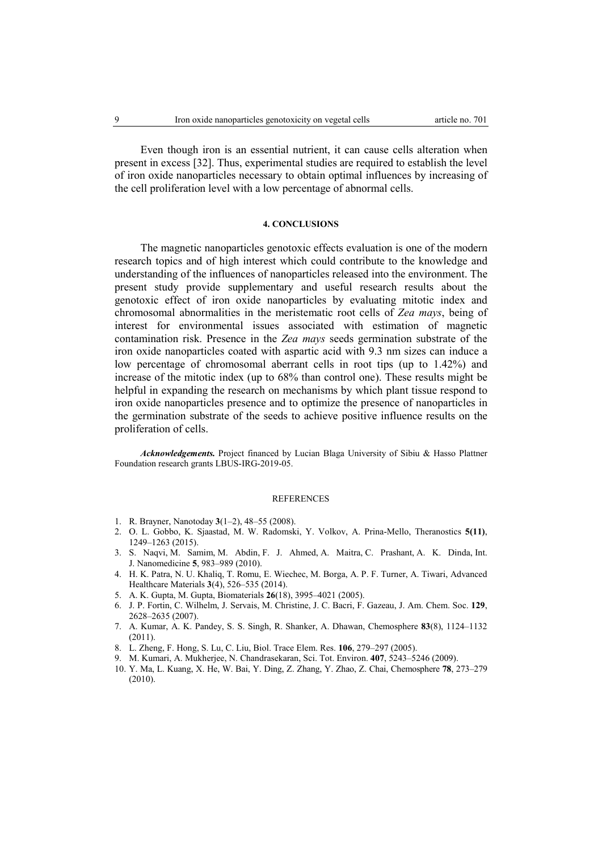Even though iron is an essential nutrient, it can cause cells alteration when present in excess [32]. Thus, experimental studies are required to establish the level of iron oxide nanoparticles necessary to obtain optimal influences by increasing of the cell proliferation level with a low percentage of abnormal cells.

### **4. CONCLUSIONS**

The magnetic nanoparticles genotoxic effects evaluation is one of the modern research topics and of high interest which could contribute to the knowledge and understanding of the influences of nanoparticles released into the environment. The present study provide supplementary and useful research results about the genotoxic effect of iron oxide nanoparticles by evaluating mitotic index and chromosomal abnormalities in the meristematic root cells of *Zea mays*, being of interest for environmental issues associated with estimation of magnetic contamination risk. Presence in the *Zea mays* seeds germination substrate of the iron oxide nanoparticles coated with aspartic acid with 9.3 nm sizes can induce a low percentage of chromosomal aberrant cells in root tips (up to 1.42%) and increase of the mitotic index (up to 68% than control one). These results might be helpful in expanding the research on mechanisms by which plant tissue respond to iron oxide nanoparticles presence and to optimize the presence of nanoparticles in the germination substrate of the seeds to achieve positive influence results on the proliferation of cells.

*Acknowledgements.* Project financed by Lucian Blaga University of Sibiu & Hasso Plattner Foundation research grants LBUS-IRG-2019-05.

#### REFERENCES

- 1. R. Brayner, Nanotoday **3**(1–2), 48–55 (2008).
- 2. O. L. Gobbo, K. Sjaastad, M. W. Radomski, Y. Volkov, A. Prina-Mello, Theranostics **5(11)**, 1249–1263 (2015).
- 3. S. Naqvi, M. Samim, M. Abdin, F. J. Ahmed, A. Maitra, C. Prashant, A. K. Dinda, Int. J. Nanomedicine **5**, 983–989 (2010).
- 4. H. K. Patra, N. U. Khaliq, T. Romu, E. Wiechec, M. Borga, A. P. F. Turner, A. Tiwari, Advanced Healthcare Materials **3**(4), 526–535 (2014).
- 5. A. K. Gupta, M. Gupta, Biomaterials **26**(18), 3995–4021 (2005).
- 6. J. P. Fortin, C. Wilhelm, J. Servais, M. Christine, J. C. Bacri, F. Gazeau, J. Am. Chem. Soc. **129**, 2628–2635 (2007).
- 7. A. Kumar, A. K. Pandey, S. S. Singh, R. Shanker, A. Dhawan, Chemosphere **83**(8), 1124–1132 (2011).
- 8. L. Zheng, F. Hong, S. Lu, C. Liu, Biol. Trace Elem. Res. **106**, 279–297 (2005).
- 9. M. Kumari, A. Mukherjee, N. Chandrasekaran, Sci. Tot. Environ. **407**, 5243–5246 (2009).
- 10. Y. Ma, L. Kuang, X. He, W. Bai, Y. Ding, Z. Zhang, Y. Zhao, Z. Chai, Chemosphere **78**, 273–279 (2010).